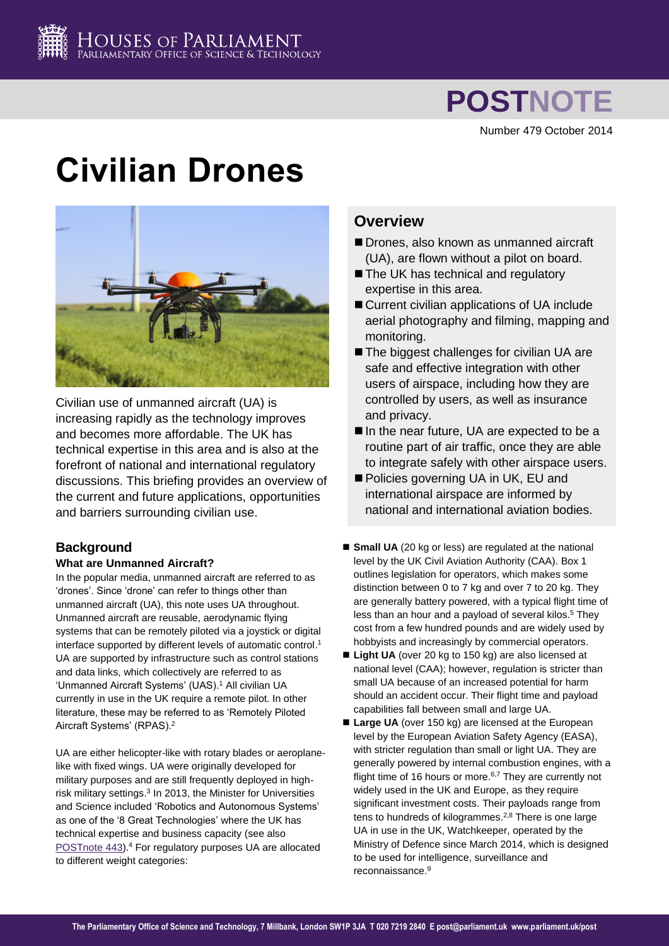

# **POSTNOTE**

Number 479 October 2014

# **Civilian Drones**



Civilian use of unmanned aircraft (UA) is increasing rapidly as the technology improves and becomes more affordable. The UK has technical expertise in this area and is also at the forefront of national and international regulatory discussions. This briefing provides an overview of the current and future applications, opportunities and barriers surrounding civilian use.

# **Background**

# **What are Unmanned Aircraft?**

In the popular media, unmanned aircraft are referred to as 'drones'. Since 'drone' can refer to things other than unmanned aircraft (UA), this note uses UA throughout. Unmanned aircraft are reusable, aerodynamic flying systems that can be remotely piloted via a joystick or digital interface supported by different levels of automatic control. 1 UA are supported by infrastructure such as control stations and data links, which collectively are referred to as 'Unmanned Aircraft Systems' (UAS).<sup>1</sup> All civilian UA currently in use in the UK require a remote pilot. In other literature, these may be referred to as 'Remotely Piloted Aircraft Systems' (RPAS).<sup>2</sup>

UA are either helicopter-like with rotary blades or aeroplanelike with fixed wings. UA were originally developed for military purposes and are still frequently deployed in highrisk military settings.<sup>3</sup> In 2013, the Minister for Universities and Science included 'Robotics and Autonomous Systems' as one of the '8 Great Technologies' where the UK has technical expertise and business capacity (see also [POSTnote 443\)](http://www.parliament.uk/business/publications/research/briefing-papers/POST-PN-443/autonomous-road-vehicles).<sup>4</sup> For regulatory purposes UA are allocated to different weight categories:

# **Overview**

- Drones, also known as unmanned aircraft (UA), are flown without a pilot on board.
- The UK has technical and regulatory expertise in this area.
- Current civilian applications of UA include aerial photography and filming, mapping and monitoring.
- The biggest challenges for civilian UA are safe and effective integration with other users of airspace, including how they are controlled by users, as well as insurance and privacy.
- In the near future, UA are expected to be a routine part of air traffic, once they are able to integrate safely with other airspace users.
- Policies governing UA in UK, EU and international airspace are informed by national and international aviation bodies.
- **Small UA** (20 kg or less) are regulated at the national level by the UK Civil Aviation Authority (CAA). Box 1 outlines legislation for operators, which makes some distinction between 0 to 7 kg and over 7 to 20 kg. They are generally battery powered, with a typical flight time of less than an hour and a payload of several kilos. <sup>5</sup> They cost from a few hundred pounds and are widely used by hobbyists and increasingly by commercial operators.
- Light UA (over 20 kg to 150 kg) are also licensed at national level (CAA); however, regulation is stricter than small UA because of an increased potential for harm should an accident occur. Their flight time and payload capabilities fall between small and large UA.
- Large UA (over 150 kg) are licensed at the European level by the European Aviation Safety Agency (EASA), with stricter regulation than small or light UA. They are generally powered by internal combustion engines, with a flight time of 16 hours or more.<sup>6,7</sup> They are currently not widely used in the UK and Europe, as they require significant investment costs. Their payloads range from tens to hundreds of kilogrammes. 2,8 There is one large UA in use in the UK, Watchkeeper, operated by the Ministry of Defence since March 2014, which is designed to be used for intelligence, surveillance and reconnaissance. 9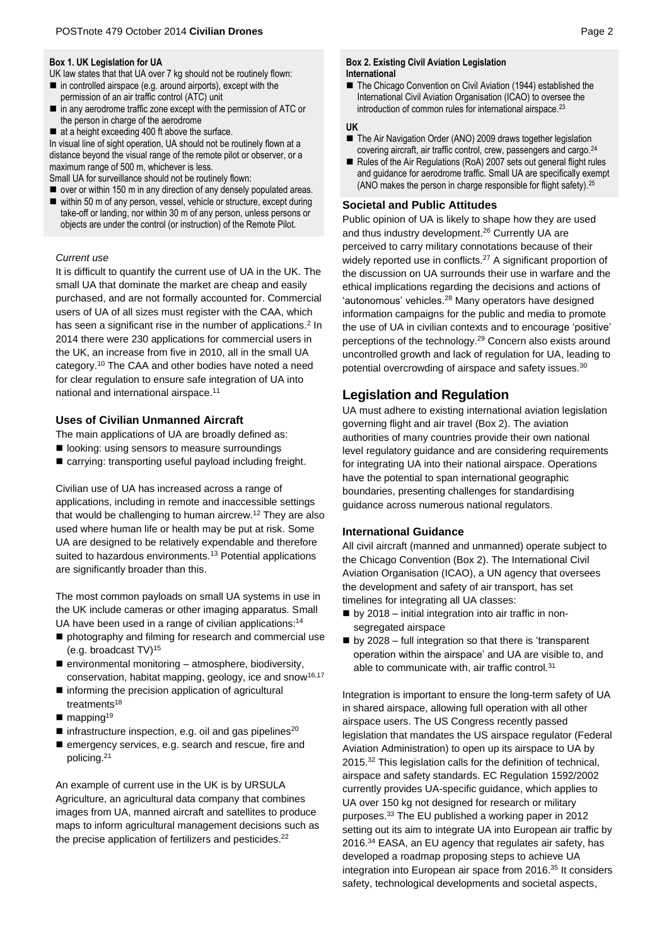#### **Box 1. UK Legislation for UA**

- UK law states that that UA over 7 kg should not be routinely flown:
- $\blacksquare$  in controlled airspace (e.g. around airports), except with the permission of an air traffic control (ATC) unit
- in any aerodrome traffic zone except with the permission of ATC or the person in charge of the aerodrome
- $\blacksquare$  at a height exceeding 400 ft above the surface.

In visual line of sight operation, UA should not be routinely flown at a distance beyond the visual range of the remote pilot or observer, or a maximum range of 500 m, whichever is less.

Small UA for surveillance should not be routinely flown:

■ over or within 150 m in any direction of any densely populated areas. within 50 m of any person, vessel, vehicle or structure, except during take-off or landing, nor within 30 m of any person, unless persons or objects are under the control (or instruction) of the Remote Pilot.

# *Current use*

It is difficult to quantify the current use of UA in the UK. The small UA that dominate the market are cheap and easily purchased, and are not formally accounted for. Commercial users of UA of all sizes must register with the CAA, which has seen a significant rise in the number of applications.<sup>2</sup> In 2014 there were 230 applications for commercial users in the UK, an increase from five in 2010, all in the small UA category. <sup>10</sup> The CAA and other bodies have noted a need for clear regulation to ensure safe integration of UA into national and international airspace. 11

# **Uses of Civilian Unmanned Aircraft**

The main applications of UA are broadly defined as:

- $\blacksquare$  looking: using sensors to measure surroundings
- carrying: transporting useful payload including freight.

Civilian use of UA has increased across a range of applications, including in remote and inaccessible settings that would be challenging to human aircrew. <sup>12</sup> They are also used where human life or health may be put at risk. Some UA are designed to be relatively expendable and therefore suited to hazardous environments.<sup>13</sup> Potential applications are significantly broader than this.

The most common payloads on small UA systems in use in the UK include cameras or other imaging apparatus. Small UA have been used in a range of civilian applications:<sup>14</sup>

- photography and filming for research and commercial use (e.g. broadcast TV)<sup>15</sup>
- $\blacksquare$  environmental monitoring  $-$  atmosphere, biodiversity, conservation, habitat mapping, geology, ice and snow<sup>16,17</sup>
- $\blacksquare$  informing the precision application of agricultural treatments<sup>18</sup>
- $\blacksquare$  mapping<sup>19</sup>
- $\blacksquare$  infrastructure inspection, e.g. oil and gas pipelines<sup>20</sup>
- emergency services, e.g. search and rescue, fire and policing. 21

An example of current use in the UK is by URSULA Agriculture, an agricultural data company that combines images from UA, manned aircraft and satellites to produce maps to inform agricultural management decisions such as the precise application of fertilizers and pesticides.<sup>22</sup>

#### **Box 2. Existing Civil Aviation Legislation International**

■ The Chicago Convention on Civil Aviation (1944) established the International Civil Aviation Organisation (ICAO) to oversee the introduction of common rules for international airspace.<sup>23</sup>

# **UK**

- The Air Navigation Order (ANO) 2009 draws together legislation covering aircraft, air traffic control, crew, passengers and cargo.<sup>24</sup>
- Rules of the Air Regulations (RoA) 2007 sets out general flight rules and guidance for aerodrome traffic. Small UA are specifically exempt (ANO makes the person in charge responsible for flight safety).25

# **Societal and Public Attitudes**

Public opinion of UA is likely to shape how they are used and thus industry development. <sup>26</sup> Currently UA are perceived to carry military connotations because of their widely reported use in conflicts.<sup>27</sup> A significant proportion of the discussion on UA surrounds their use in warfare and the ethical implications regarding the decisions and actions of 'autonomous' vehicles.<sup>28</sup> Many operators have designed information campaigns for the public and media to promote the use of UA in civilian contexts and to encourage 'positive' perceptions of the technology.<sup>29</sup> Concern also exists around uncontrolled growth and lack of regulation for UA, leading to potential overcrowding of airspace and safety issues.<sup>30</sup>

# **Legislation and Regulation**

UA must adhere to existing international aviation legislation governing flight and air travel (Box 2). The aviation authorities of many countries provide their own national level regulatory guidance and are considering requirements for integrating UA into their national airspace. Operations have the potential to span international geographic boundaries, presenting challenges for standardising guidance across numerous national regulators.

# **International Guidance**

All civil aircraft (manned and unmanned) operate subject to the Chicago Convention (Box 2). The International Civil Aviation Organisation (ICAO), a UN agency that oversees the development and safety of air transport, has set timelines for integrating all UA classes:

- $\blacksquare$  by 2018 initial integration into air traffic in nonsegregated airspace
- by 2028 full integration so that there is 'transparent operation within the airspace' and UA are visible to, and able to communicate with, air traffic control.<sup>31</sup>

Integration is important to ensure the long-term safety of UA in shared airspace, allowing full operation with all other airspace users. The US Congress recently passed legislation that mandates the US airspace regulator (Federal Aviation Administration) to open up its airspace to UA by 2015.<sup>32</sup> This legislation calls for the definition of technical, airspace and safety standards. EC Regulation 1592/2002 currently provides UA-specific guidance, which applies to UA over 150 kg not designed for research or military purposes.<sup>33</sup> The EU published a working paper in 2012 setting out its aim to integrate UA into European air traffic by 2016.<sup>34</sup> EASA, an EU agency that regulates air safety, has developed a roadmap proposing steps to achieve UA integration into European air space from 2016.<sup>35</sup> It considers safety, technological developments and societal aspects,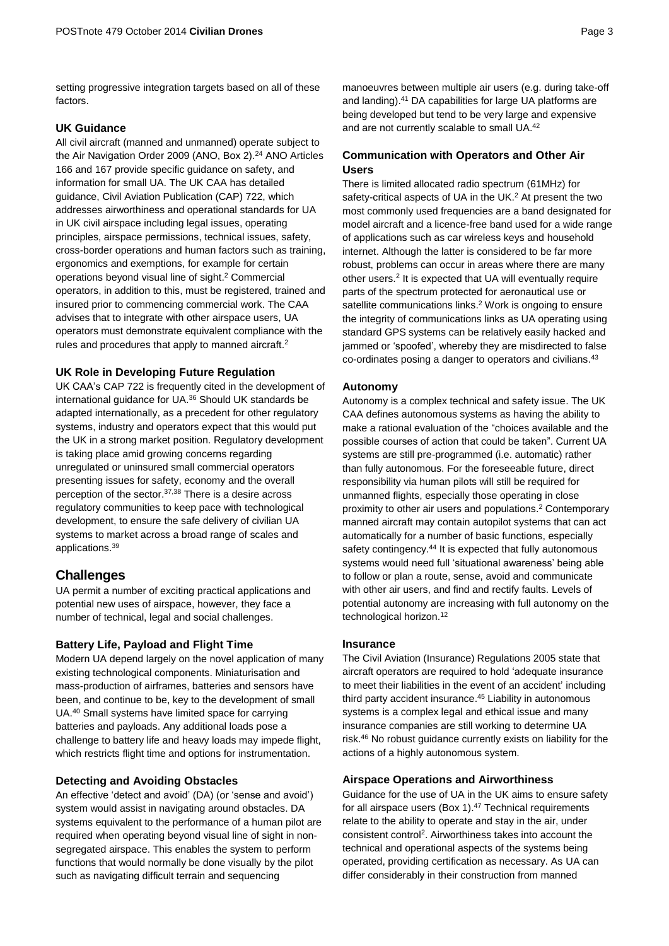setting progressive integration targets based on all of these factors.

# **UK Guidance**

All civil aircraft (manned and unmanned) operate subject to the Air Navigation Order 2009 (ANO, Box 2).<sup>24</sup> ANO Articles 166 and 167 provide specific guidance on safety, and information for small UA. The UK CAA has detailed guidance, Civil Aviation Publication (CAP) 722, which addresses airworthiness and operational standards for UA in UK civil airspace including legal issues, operating principles, airspace permissions, technical issues, safety, cross-border operations and human factors such as training, ergonomics and exemptions, for example for certain operations beyond visual line of sight. <sup>2</sup> Commercial operators, in addition to this, must be registered, trained and insured prior to commencing commercial work. The CAA advises that to integrate with other airspace users, UA operators must demonstrate equivalent compliance with the rules and procedures that apply to manned aircraft.<sup>2</sup>

#### **UK Role in Developing Future Regulation**

UK CAA's CAP 722 is frequently cited in the development of international guidance for UA.<sup>36</sup> Should UK standards be adapted internationally, as a precedent for other regulatory systems, industry and operators expect that this would put the UK in a strong market position. Regulatory development is taking place amid growing concerns regarding unregulated or uninsured small commercial operators presenting issues for safety, economy and the overall perception of the sector. 37,38 There is a desire across regulatory communities to keep pace with technological development, to ensure the safe delivery of civilian UA systems to market across a broad range of scales and applications.<sup>39</sup>

# **Challenges**

UA permit a number of exciting practical applications and potential new uses of airspace, however, they face a number of technical, legal and social challenges.

## **Battery Life, Payload and Flight Time**

Modern UA depend largely on the novel application of many existing technological components. Miniaturisation and mass-production of airframes, batteries and sensors have been, and continue to be, key to the development of small UA. <sup>40</sup> Small systems have limited space for carrying batteries and payloads. Any additional loads pose a challenge to battery life and heavy loads may impede flight, which restricts flight time and options for instrumentation.

#### **Detecting and Avoiding Obstacles**

An effective 'detect and avoid' (DA) (or 'sense and avoid') system would assist in navigating around obstacles. DA systems equivalent to the performance of a human pilot are required when operating beyond visual line of sight in nonsegregated airspace. This enables the system to perform functions that would normally be done visually by the pilot such as navigating difficult terrain and sequencing

manoeuvres between multiple air users (e.g. during take-off and landing). <sup>41</sup> DA capabilities for large UA platforms are being developed but tend to be very large and expensive and are not currently scalable to small UA.<sup>42</sup>

# **Communication with Operators and Other Air Users**

There is limited allocated radio spectrum (61MHz) for safety-critical aspects of UA in the UK.<sup>2</sup> At present the two most commonly used frequencies are a band designated for model aircraft and a licence-free band used for a wide range of applications such as car wireless keys and household internet. Although the latter is considered to be far more robust, problems can occur in areas where there are many other users.<sup>2</sup> It is expected that UA will eventually require parts of the spectrum protected for aeronautical use or satellite communications links. <sup>2</sup> Work is ongoing to ensure the integrity of communications links as UA operating using standard GPS systems can be relatively easily hacked and jammed or 'spoofed', whereby they are misdirected to false co-ordinates posing a danger to operators and civilians. 43

#### **Autonomy**

Autonomy is a complex technical and safety issue. The UK CAA defines autonomous systems as having the ability to make a rational evaluation of the "choices available and the possible courses of action that could be taken". Current UA systems are still pre-programmed (i.e. automatic) rather than fully autonomous. For the foreseeable future, direct responsibility via human pilots will still be required for unmanned flights, especially those operating in close proximity to other air users and populations. <sup>2</sup> Contemporary manned aircraft may contain autopilot systems that can act automatically for a number of basic functions, especially safety contingency.<sup>44</sup> It is expected that fully autonomous systems would need full 'situational awareness' being able to follow or plan a route, sense, avoid and communicate with other air users, and find and rectify faults. Levels of potential autonomy are increasing with full autonomy on the technological horizon.<sup>12</sup>

# **Insurance**

The Civil Aviation (Insurance) Regulations 2005 state that aircraft operators are required to hold 'adequate insurance to meet their liabilities in the event of an accident' including third party accident insurance. <sup>45</sup> Liability in autonomous systems is a complex legal and ethical issue and many insurance companies are still working to determine UA risk. <sup>46</sup> No robust guidance currently exists on liability for the actions of a highly autonomous system.

# **Airspace Operations and Airworthiness**

Guidance for the use of UA in the UK aims to ensure safety for all airspace users (Box 1). <sup>47</sup> Technical requirements relate to the ability to operate and stay in the air, under consistent control<sup>2</sup> . Airworthiness takes into account the technical and operational aspects of the systems being operated, providing certification as necessary. As UA can differ considerably in their construction from manned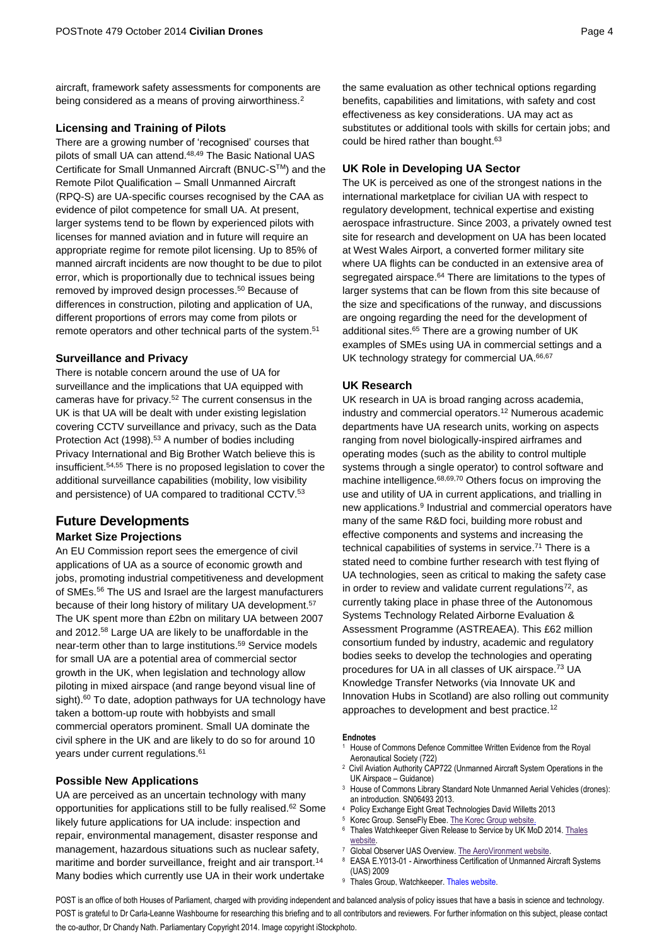aircraft, framework safety assessments for components are being considered as a means of proving airworthiness.<sup>2</sup>

# **Licensing and Training of Pilots**

There are a growing number of 'recognised' courses that pilots of small UA can attend.<sup>48,49</sup> The Basic National UAS Certificate for Small Unmanned Aircraft (BNUC-STM) and the Remote Pilot Qualification – Small Unmanned Aircraft (RPQ-S) are UA-specific courses recognised by the CAA as evidence of pilot competence for small UA. At present, larger systems tend to be flown by experienced pilots with licenses for manned aviation and in future will require an appropriate regime for remote pilot licensing. Up to 85% of manned aircraft incidents are now thought to be due to pilot error, which is proportionally due to technical issues being removed by improved design processes. <sup>50</sup> Because of differences in construction, piloting and application of UA, different proportions of errors may come from pilots or remote operators and other technical parts of the system.<sup>51</sup>

# **Surveillance and Privacy**

There is notable concern around the use of UA for surveillance and the implications that UA equipped with cameras have for privacy.<sup>52</sup> The current consensus in the UK is that UA will be dealt with under existing legislation covering CCTV surveillance and privacy, such as the Data Protection Act (1998).<sup>53</sup> A number of bodies including Privacy International and Big Brother Watch believe this is insufficient.54,55 There is no proposed legislation to cover the additional surveillance capabilities (mobility, low visibility and persistence) of UA compared to traditional CCTV.<sup>53</sup>

# **Future Developments Market Size Projections**

An EU Commission report sees the emergence of civil applications of UA as a source of economic growth and jobs, promoting industrial competitiveness and development of SMEs.<sup>56</sup> The US and Israel are the largest manufacturers because of their long history of military UA development.<sup>57</sup> The UK spent more than £2bn on military UA between 2007 and 2012. <sup>58</sup> Large UA are likely to be unaffordable in the near-term other than to large institutions.<sup>59</sup> Service models for small UA are a potential area of commercial sector growth in the UK, when legislation and technology allow piloting in mixed airspace (and range beyond visual line of sight).<sup>60</sup> To date, adoption pathways for UA technology have taken a bottom-up route with hobbyists and small commercial operators prominent. Small UA dominate the civil sphere in the UK and are likely to do so for around 10 years under current regulations.<sup>61</sup>

# **Possible New Applications**

UA are perceived as an uncertain technology with many opportunities for applications still to be fully realised. <sup>62</sup> Some likely future applications for UA include: inspection and repair, environmental management, disaster response and management, hazardous situations such as nuclear safety, maritime and border surveillance, freight and air transport.<sup>14</sup> Many bodies which currently use UA in their work undertake

the same evaluation as other technical options regarding benefits, capabilities and limitations, with safety and cost effectiveness as key considerations. UA may act as substitutes or additional tools with skills for certain jobs; and could be hired rather than bought. 63

# **UK Role in Developing UA Sector**

The UK is perceived as one of the strongest nations in the international marketplace for civilian UA with respect to regulatory development, technical expertise and existing aerospace infrastructure. Since 2003, a privately owned test site for research and development on UA has been located at West Wales Airport, a converted former military site where UA flights can be conducted in an extensive area of segregated airspace.<sup>64</sup> There are limitations to the types of larger systems that can be flown from this site because of the size and specifications of the runway, and discussions are ongoing regarding the need for the development of additional sites. <sup>65</sup> There are a growing number of UK examples of SMEs using UA in commercial settings and a UK technology strategy for commercial UA.<sup>66,67</sup>

#### **UK Research**

UK research in UA is broad ranging across academia, industry and commercial operators. <sup>12</sup> Numerous academic departments have UA research units, working on aspects ranging from novel biologically-inspired airframes and operating modes (such as the ability to control multiple systems through a single operator) to control software and machine intelligence.68,69,70 Others focus on improving the use and utility of UA in current applications, and trialling in new applications. 9 Industrial and commercial operators have many of the same R&D foci, building more robust and effective components and systems and increasing the technical capabilities of systems in service. <sup>71</sup> There is a stated need to combine further research with test flying of UA technologies, seen as critical to making the safety case in order to review and validate current regulations $72$ , as currently taking place in phase three of the Autonomous Systems Technology Related Airborne Evaluation & Assessment Programme (ASTREAEA). This £62 million consortium funded by industry, academic and regulatory bodies seeks to develop the technologies and operating procedures for UA in all classes of UK airspace.<sup>73</sup> UA Knowledge Transfer Networks (via Innovate UK and Innovation Hubs in Scotland) are also rolling out community approaches to development and best practice.<sup>12</sup>

#### **Endnotes**

- <sup>1</sup> House of Commons Defence Committee Written Evidence from the Royal Aeronautical Society (722)
- <sup>2</sup> Civil Aviation Authority CAP722 (Unmanned Aircraft System Operations in the UK Airspace – Guidance)
- <sup>3</sup> House of Commons Library Standard Note Unmanned Aerial Vehicles (drones): an introduction. SN06493 2013.
- <sup>4</sup> Policy Exchange Eight Great Technologies David Willetts 2013
- Korec Group. SenseFly Ebee. The Korec [Group website.](http://www.korecgroup.com/products/mapping-gis/gis-data-collection/uavs/sensefly-ebee/)
- <sup>6</sup> Thales Watchkeeper Given Release to Service by UK MoD 2014. Thales [website.](https://www.thalesgroup.com/en/worldwide/aerospace/press-release/thaless-watchkeeper-given-release-service-uk-ministry-defence)
- <sup>7</sup> Global Observer UAS Overview[. The AeroVironment website.](https://www.avinc.com/images/go_site/GO_Data_Sheet.pdf)
- <sup>8</sup> EASA E.Y013-01 Airworthiness Certification of Unmanned Aircraft Systems (UAS) 2009
- Thales Group, Watchkeeper[. Thales website.](https://www.thalesgroup.com/en/united-kingdom/defence/watchkeeper)

POST is an office of both Houses of Parliament, charged with providing independent and balanced analysis of policy issues that have a basis in science and technology. POST is grateful to Dr Carla-Leanne Washbourne for researching this briefing and to all contributors and reviewers. For further information on this subject, please contact the co-author, Dr Chandy Nath. Parliamentary Copyright 2014. Image copyright iStockphoto.